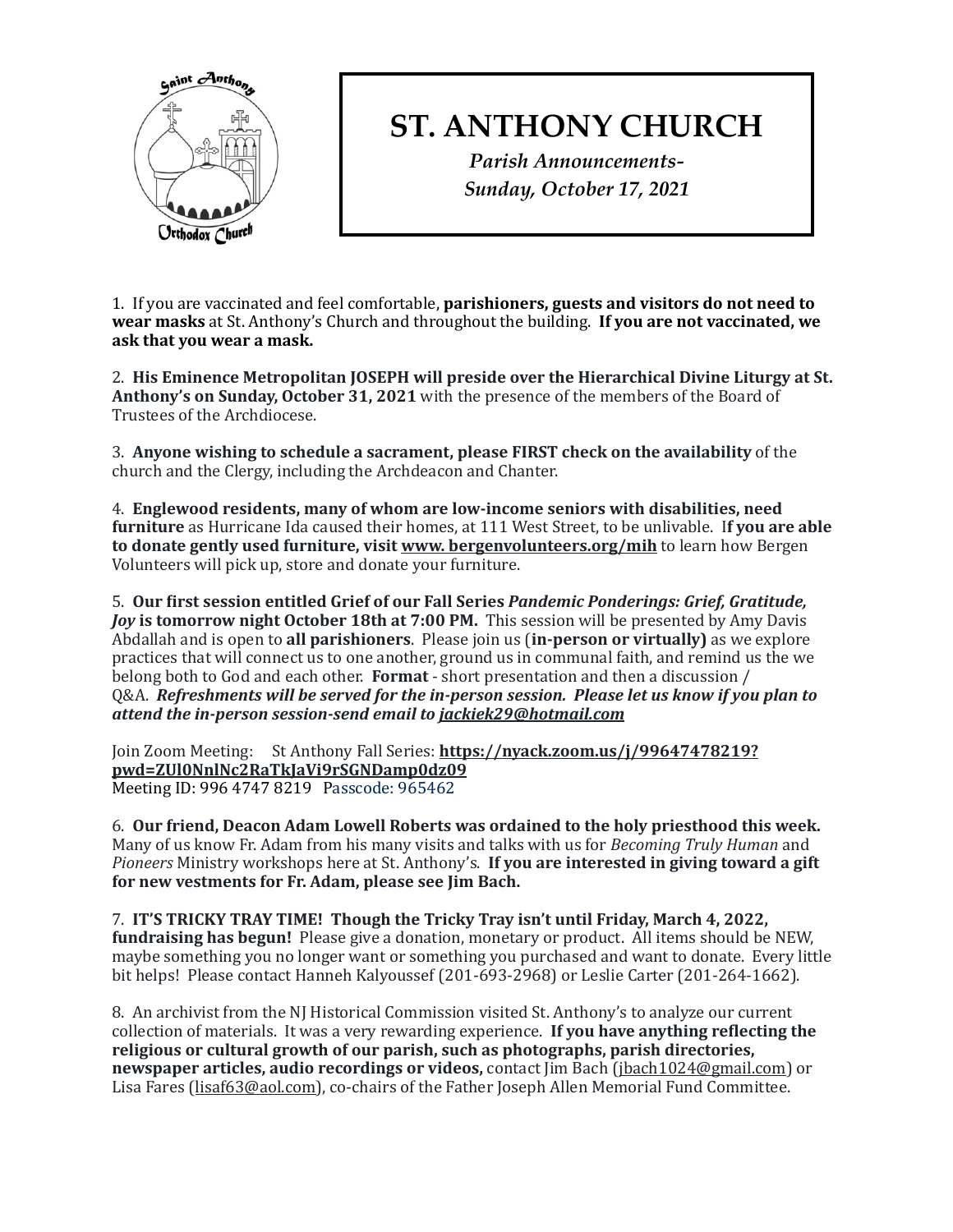

## **ST. ANTHONY CHURCH**

*Parish Announcements-Sunday, October 17, 2021*

1. If you are vaccinated and feel comfortable, **parishioners, guests and visitors do not need to wear masks** at St. Anthony's Church and throughout the building. If you are not vaccinated, we ask that you wear a mask.

2. His Eminence Metropolitan JOSEPH will preside over the Hierarchical Divine Liturgy at St. **Anthony's on Sunday, October 31, 2021** with the presence of the members of the Board of Trustees of the Archdiocese.

3. Anyone wishing to schedule a sacrament, please FIRST check on the availability of the church and the Clergy, including the Archdeacon and Chanter.

4. Englewood residents, many of whom are low-income seniors with disabilities, need furniture as Hurricane Ida caused their homes, at 111 West Street, to be unlivable. If you are able **to donate gently used furniture, visit <u>www. bergenvolunteers.org/mih</u> to learn how Bergen** Volunteers will pick up, store and donate your furniture.

5. Our first session entitled Grief of our Fall Series *Pandemic Ponderings: Grief, Gratitude, Joy* is tomorrow night October 18th at 7:00 PM. This session will be presented by Amy Davis Abdallah and is open to all parishioners. Please join us (in-person or virtually) as we explore practices that will connect us to one another, ground us in communal faith, and remind us the we belong both to God and each other. **Format** - short presentation and then a discussion / Q&A. Refreshments will be served for the in-person session. Please let us know if you plan to attend the in-person session-send email to jackiek29@hotmail.com

Join Zoom Meeting: St Anthony Fall Series: [https://nyack.zoom.us/j/99647478219?](https://nyack.zoom.us/j/99647478219?pwd=ZUl0NnlNc2RaTkJaVi9rSGNDamp0dz09) **[pwd=ZUl0NnlNc2RaTkJaVi9rSGNDamp0dz09](https://nyack.zoom.us/j/99647478219?pwd=ZUl0NnlNc2RaTkJaVi9rSGNDamp0dz09)**  Meeting ID: 996 4747 8219 Passcode: 965462

6. Our friend, Deacon Adam Lowell Roberts was ordained to the holy priesthood this week. Many of us know Fr. Adam from his many visits and talks with us for *Becoming Truly Human* and Pioneers Ministry workshops here at St. Anthony's. If you are interested in giving toward a gift for new vestments for Fr. Adam, please see Jim Bach.

7. **IT'S TRICKY TRAY TIME!** Though the Tricky Tray isn't until Friday, March 4, 2022, **fundraising has begun!** Please give a donation, monetary or product. All items should be NEW, maybe something you no longer want or something you purchased and want to donate. Every little bit helps! Please contact Hanneh Kalyoussef (201-693-2968) or Leslie Carter (201-264-1662).

8. An archivist from the NJ Historical Commission visited St. Anthony's to analyze our current collection of materials. It was a very rewarding experience. If you have anything reflecting the religious or cultural growth of our parish, such as photographs, parish directories, **newspaper articles, audio recordings or videos,** contact Jim Bach ([jbach1024@gmail.com](mailto:jbach1024@gmail.com)) or Lisa Fares [\(lisaf63@aol.com](mailto:lisaf63@aol.com)), co-chairs of the Father Joseph Allen Memorial Fund Committee.